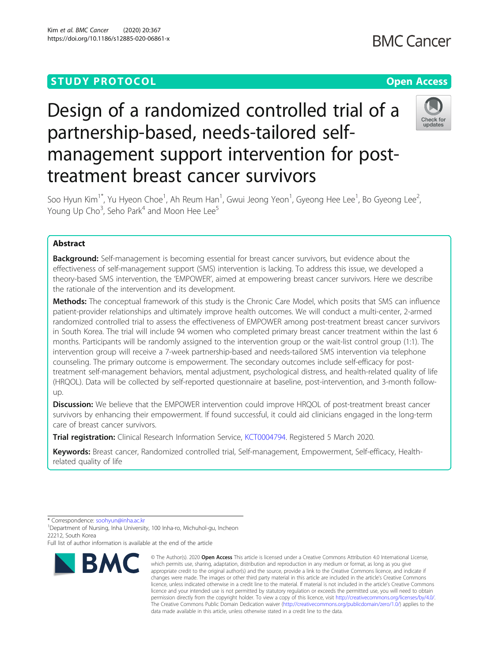# **STUDY PROTOCOL CONSUMING THE RESERVE ACCESS**

# Design of a randomized controlled trial of a partnership-based, needs-tailored selfmanagement support intervention for posttreatment breast cancer survivors



Soo Hyun Kim<sup>1\*</sup>, Yu Hyeon Choe<sup>1</sup>, Ah Reum Han<sup>1</sup>, Gwui Jeong Yeon<sup>1</sup>, Gyeong Hee Lee<sup>1</sup>, Bo Gyeong Lee<sup>2</sup> .<br>, Young Up Cho $^3$ , Seho Park $^4$  and Moon Hee Lee $^5$ 

# Abstract

**Background:** Self-management is becoming essential for breast cancer survivors, but evidence about the effectiveness of self-management support (SMS) intervention is lacking. To address this issue, we developed a theory-based SMS intervention, the 'EMPOWER', aimed at empowering breast cancer survivors. Here we describe the rationale of the intervention and its development.

Methods: The conceptual framework of this study is the Chronic Care Model, which posits that SMS can influence patient-provider relationships and ultimately improve health outcomes. We will conduct a multi-center, 2-armed randomized controlled trial to assess the effectiveness of EMPOWER among post-treatment breast cancer survivors in South Korea. The trial will include 94 women who completed primary breast cancer treatment within the last 6 months. Participants will be randomly assigned to the intervention group or the wait-list control group (1:1). The intervention group will receive a 7-week partnership-based and needs-tailored SMS intervention via telephone counseling. The primary outcome is empowerment. The secondary outcomes include self-efficacy for posttreatment self-management behaviors, mental adjustment, psychological distress, and health-related quality of life (HRQOL). Data will be collected by self-reported questionnaire at baseline, post-intervention, and 3-month followup.

**Discussion:** We believe that the EMPOWER intervention could improve HRQOL of post-treatment breast cancer survivors by enhancing their empowerment. If found successful, it could aid clinicians engaged in the long-term care of breast cancer survivors.

Trial registration: Clinical Research Information Service, [KCT0004794](https://cris.nih.go.kr/cris/en/search/search_result_st01.jsp?seq=15934). Registered 5 March 2020.

Keywords: Breast cancer, Randomized controlled trial, Self-management, Empowerment, Self-efficacy, Healthrelated quality of life

<sup>1</sup>Department of Nursing, Inha University, 100 Inha-ro, Michuhol-gu, Incheon 22212, South Korea

Full list of author information is available at the end of the article



<sup>©</sup> The Author(s), 2020 **Open Access** This article is licensed under a Creative Commons Attribution 4.0 International License, which permits use, sharing, adaptation, distribution and reproduction in any medium or format, as long as you give appropriate credit to the original author(s) and the source, provide a link to the Creative Commons licence, and indicate if changes were made. The images or other third party material in this article are included in the article's Creative Commons licence, unless indicated otherwise in a credit line to the material. If material is not included in the article's Creative Commons licence and your intended use is not permitted by statutory regulation or exceeds the permitted use, you will need to obtain permission directly from the copyright holder. To view a copy of this licence, visit [http://creativecommons.org/licenses/by/4.0/.](http://creativecommons.org/licenses/by/4.0/) The Creative Commons Public Domain Dedication waiver [\(http://creativecommons.org/publicdomain/zero/1.0/](http://creativecommons.org/publicdomain/zero/1.0/)) applies to the data made available in this article, unless otherwise stated in a credit line to the data.

<sup>\*</sup> Correspondence: [soohyun@inha.ac.kr](mailto:soohyun@inha.ac.kr) <sup>1</sup>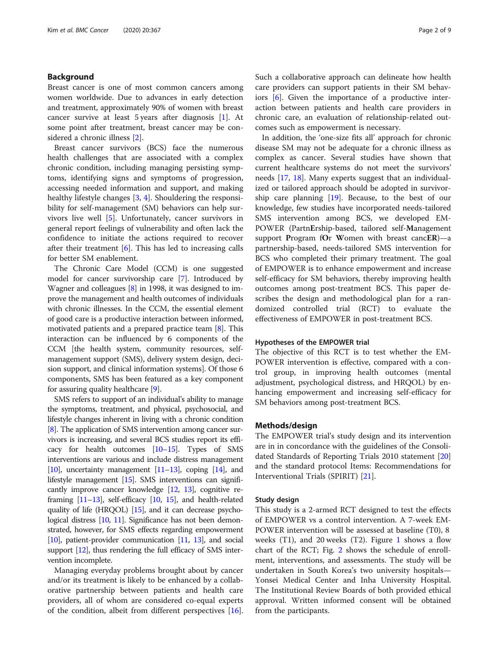# Background

Breast cancer is one of most common cancers among women worldwide. Due to advances in early detection and treatment, approximately 90% of women with breast cancer survive at least 5 years after diagnosis [[1](#page-7-0)]. At some point after treatment, breast cancer may be considered a chronic illness [\[2](#page-7-0)].

Breast cancer survivors (BCS) face the numerous health challenges that are associated with a complex chronic condition, including managing persisting symptoms, identifying signs and symptoms of progression, accessing needed information and support, and making healthy lifestyle changes [[3](#page-8-0), [4](#page-8-0)]. Shouldering the responsibility for self-management (SM) behaviors can help survivors live well [\[5](#page-8-0)]. Unfortunately, cancer survivors in general report feelings of vulnerability and often lack the confidence to initiate the actions required to recover after their treatment  $[6]$ . This has led to increasing calls for better SM enablement.

The Chronic Care Model (CCM) is one suggested model for cancer survivorship care [[7\]](#page-8-0). Introduced by Wagner and colleagues [[8\]](#page-8-0) in 1998, it was designed to improve the management and health outcomes of individuals with chronic illnesses. In the CCM, the essential element of good care is a productive interaction between informed, motivated patients and a prepared practice team [\[8](#page-8-0)]. This interaction can be influenced by 6 components of the CCM [the health system, community resources, selfmanagement support (SMS), delivery system design, decision support, and clinical information systems]. Of those 6 components, SMS has been featured as a key component for assuring quality healthcare [[9\]](#page-8-0).

SMS refers to support of an individual's ability to manage the symptoms, treatment, and physical, psychosocial, and lifestyle changes inherent in living with a chronic condition [[8](#page-8-0)]. The application of SMS intervention among cancer survivors is increasing, and several BCS studies report its efficacy for health outcomes [[10](#page-8-0)–[15](#page-8-0)]. Types of SMS interventions are various and include distress management [[10](#page-8-0)], uncertainty management  $[11-13]$  $[11-13]$  $[11-13]$ , coping  $[14]$ , and lifestyle management [\[15\]](#page-8-0). SMS interventions can significantly improve cancer knowledge [\[12](#page-8-0), [13\]](#page-8-0), cognitive reframing [\[11](#page-8-0)–[13\]](#page-8-0), self-efficacy [\[10](#page-8-0), [15\]](#page-8-0), and health-related quality of life (HRQOL) [\[15](#page-8-0)], and it can decrease psycho-logical distress [[10](#page-8-0), [11](#page-8-0)]. Significance has not been demonstrated, however, for SMS effects regarding empowerment [[10](#page-8-0)], patient-provider communication [\[11,](#page-8-0) [13](#page-8-0)], and social support [\[12\]](#page-8-0), thus rendering the full efficacy of SMS intervention incomplete.

Managing everyday problems brought about by cancer and/or its treatment is likely to be enhanced by a collaborative partnership between patients and health care providers, all of whom are considered co-equal experts of the condition, albeit from different perspectives [\[16](#page-8-0)]. Such a collaborative approach can delineate how health care providers can support patients in their SM behaviors  $[6]$  $[6]$ . Given the importance of a productive interaction between patients and health care providers in chronic care, an evaluation of relationship-related outcomes such as empowerment is necessary.

In addition, the 'one-size fits all' approach for chronic disease SM may not be adequate for a chronic illness as complex as cancer. Several studies have shown that current healthcare systems do not meet the survivors' needs [[17](#page-8-0), [18\]](#page-8-0). Many experts suggest that an individualized or tailored approach should be adopted in survivorship care planning [[19](#page-8-0)]. Because, to the best of our knowledge, few studies have incorporated needs-tailored SMS intervention among BCS, we developed EM-POWER (PartnErship-based, tailored self-Management support Program fOr Women with breast cancER)—a partnership-based, needs-tailored SMS intervention for BCS who completed their primary treatment. The goal of EMPOWER is to enhance empowerment and increase self-efficacy for SM behaviors, thereby improving health outcomes among post-treatment BCS. This paper describes the design and methodological plan for a randomized controlled trial (RCT) to evaluate the effectiveness of EMPOWER in post-treatment BCS.

# Hypotheses of the EMPOWER trial

The objective of this RCT is to test whether the EM-POWER intervention is effective, compared with a control group, in improving health outcomes (mental adjustment, psychological distress, and HRQOL) by enhancing empowerment and increasing self-efficacy for SM behaviors among post-treatment BCS.

# Methods/design

The EMPOWER trial's study design and its intervention are in in concordance with the guidelines of the Consolidated Standards of Reporting Trials 2010 statement [[20](#page-8-0)] and the standard protocol Items: Recommendations for Interventional Trials (SPIRIT) [[21\]](#page-8-0).

# Study design

This study is a 2-armed RCT designed to test the effects of EMPOWER vs a control intervention. A 7-week EM-POWER intervention will be assessed at baseline (T0), 8 weeks  $(T1)$  $(T1)$  $(T1)$ , and 20 weeks  $(T2)$ . Figure 1 shows a flow chart of the RCT; Fig. [2](#page-3-0) shows the schedule of enrollment, interventions, and assessments. The study will be undertaken in South Korea's two university hospitals— Yonsei Medical Center and Inha University Hospital. The Institutional Review Boards of both provided ethical approval. Written informed consent will be obtained from the participants.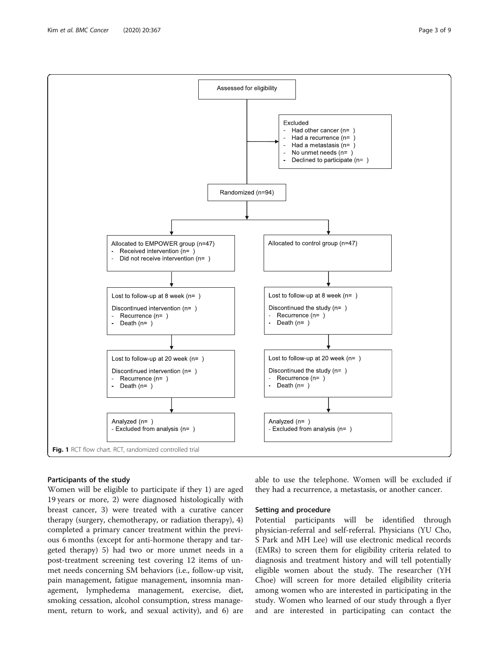<span id="page-2-0"></span>

# Participants of the study

Women will be eligible to participate if they 1) are aged 19 years or more, 2) were diagnosed histologically with breast cancer, 3) were treated with a curative cancer therapy (surgery, chemotherapy, or radiation therapy), 4) completed a primary cancer treatment within the previous 6 months (except for anti-hormone therapy and targeted therapy) 5) had two or more unmet needs in a post-treatment screening test covering 12 items of unmet needs concerning SM behaviors (i.e., follow-up visit, pain management, fatigue management, insomnia management, lymphedema management, exercise, diet, smoking cessation, alcohol consumption, stress management, return to work, and sexual activity), and 6) are

able to use the telephone. Women will be excluded if they had a recurrence, a metastasis, or another cancer.

# Setting and procedure

Potential participants will be identified through physician-referral and self-referral. Physicians (YU Cho, S Park and MH Lee) will use electronic medical records (EMRs) to screen them for eligibility criteria related to diagnosis and treatment history and will tell potentially eligible women about the study. The researcher (YH Choe) will screen for more detailed eligibility criteria among women who are interested in participating in the study. Women who learned of our study through a flyer and are interested in participating can contact the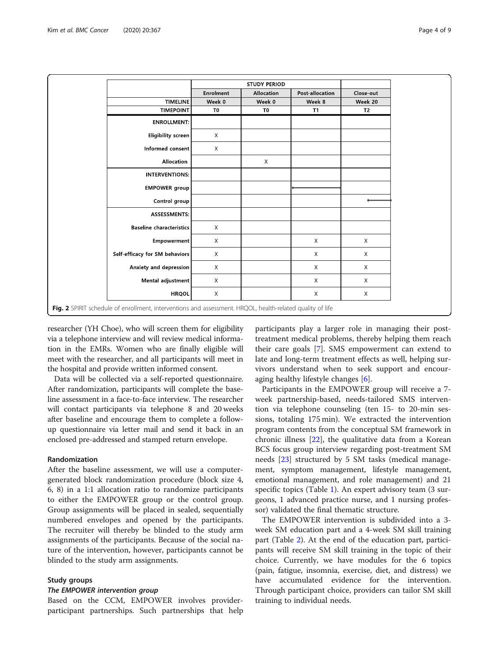<span id="page-3-0"></span>

|                                                                                                           |                  | <b>STUDY PERIOD</b> |                 |                |
|-----------------------------------------------------------------------------------------------------------|------------------|---------------------|-----------------|----------------|
|                                                                                                           | <b>Enrolment</b> | Allocation          | Post-allocation | Close-out      |
| <b>TIMELINE</b>                                                                                           | Week 0           | Week 0              | Week 8          | Week 20        |
| <b>TIMEPOINT</b>                                                                                          | T0               | T <sub>0</sub>      | <b>T1</b>       | T <sub>2</sub> |
| <b>ENROLLMENT:</b>                                                                                        |                  |                     |                 |                |
| Eligibility screen                                                                                        | $\mathsf X$      |                     |                 |                |
| Informed consent                                                                                          | $\times$         |                     |                 |                |
| Allocation                                                                                                |                  | $\chi$              |                 |                |
| <b>INTERVENTIONS:</b>                                                                                     |                  |                     |                 |                |
| <b>EMPOWER</b> group                                                                                      |                  |                     |                 |                |
| Control group                                                                                             |                  |                     |                 |                |
| <b>ASSESSMENTS:</b>                                                                                       |                  |                     |                 |                |
| <b>Baseline characteristics</b>                                                                           | X                |                     |                 |                |
| Empowerment                                                                                               | X                |                     | $\mathsf{X}$    | $\mathsf X$    |
| Self-efficacy for SM behaviors                                                                            | $\mathsf{X}$     |                     | $\mathsf X$     | $\mathsf X$    |
| Anxiety and depression                                                                                    | $\mathsf{X}$     |                     | $\mathsf{X}$    | $\mathsf X$    |
| Mental adjustment                                                                                         | X                |                     | $\chi$          | X              |
| <b>HRQOL</b>                                                                                              | X                |                     | X               | X              |
| Fig. 2 SPIRIT schedule of enrollment, interventions and assessment. HRQOL, health-related quality of life |                  |                     |                 |                |

researcher (YH Choe), who will screen them for eligibility via a telephone interview and will review medical information in the EMRs. Women who are finally eligible will meet with the researcher, and all participants will meet in the hospital and provide written informed consent.

Data will be collected via a self-reported questionnaire. After randomization, participants will complete the baseline assessment in a face-to-face interview. The researcher will contact participants via telephone 8 and 20 weeks after baseline and encourage them to complete a followup questionnaire via letter mail and send it back in an enclosed pre-addressed and stamped return envelope.

# Randomization

After the baseline assessment, we will use a computergenerated block randomization procedure (block size 4, 6, 8) in a 1:1 allocation ratio to randomize participants to either the EMPOWER group or the control group. Group assignments will be placed in sealed, sequentially numbered envelopes and opened by the participants. The recruiter will thereby be blinded to the study arm assignments of the participants. Because of the social nature of the intervention, however, participants cannot be blinded to the study arm assignments.

# Study groups

Based on the CCM, EMPOWER involves providerparticipant partnerships. Such partnerships that help

participants play a larger role in managing their posttreatment medical problems, thereby helping them reach their care goals [[7\]](#page-8-0). SMS empowerment can extend to late and long-term treatment effects as well, helping survivors understand when to seek support and encouraging healthy lifestyle changes [\[6\]](#page-8-0).

Participants in the EMPOWER group will receive a 7 week partnership-based, needs-tailored SMS intervention via telephone counseling (ten 15- to 20-min sessions, totaling 175 min). We extracted the intervention program contents from the conceptual SM framework in chronic illness [\[22](#page-8-0)], the qualitative data from a Korean BCS focus group interview regarding post-treatment SM needs [\[23](#page-8-0)] structured by 5 SM tasks (medical management, symptom management, lifestyle management, emotional management, and role management) and 21 specific topics (Table [1](#page-4-0)). An expert advisory team (3 surgeons, 1 advanced practice nurse, and 1 nursing professor) validated the final thematic structure.

The EMPOWER intervention is subdivided into a 3 week SM education part and a 4-week SM skill training part (Table [2](#page-4-0)). At the end of the education part, participants will receive SM skill training in the topic of their choice. Currently, we have modules for the 6 topics (pain, fatigue, insomnia, exercise, diet, and distress) we have accumulated evidence for the intervention. Through participant choice, providers can tailor SM skill training to individual needs.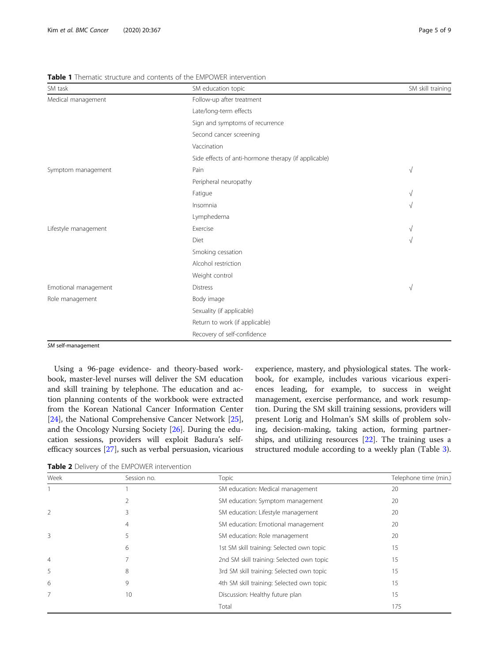<span id="page-4-0"></span>Table 1 Thematic structure and contents of the EMPOWER intervention

| SM task              | SM education topic                                   | SM skill training |
|----------------------|------------------------------------------------------|-------------------|
| Medical management   | Follow-up after treatment                            |                   |
|                      | Late/long-term effects                               |                   |
|                      | Sign and symptoms of recurrence                      |                   |
|                      | Second cancer screening                              |                   |
|                      | Vaccination                                          |                   |
|                      | Side effects of anti-hormone therapy (if applicable) |                   |
| Symptom management   | Pain                                                 | $\sqrt{}$         |
|                      | Peripheral neuropathy                                |                   |
|                      | Fatigue                                              | V                 |
|                      | Insomnia                                             | V                 |
|                      | Lymphedema                                           |                   |
| Lifestyle management | Exercise                                             | V                 |
|                      | Diet                                                 | V                 |
|                      | Smoking cessation                                    |                   |
|                      | Alcohol restriction                                  |                   |
|                      | Weight control                                       |                   |
| Emotional management | <b>Distress</b>                                      | $\sqrt{ }$        |
| Role management      | Body image                                           |                   |
|                      | Sexuality (if applicable)                            |                   |
|                      | Return to work (if applicable)                       |                   |
|                      | Recovery of self-confidence                          |                   |

SM self-management

Using a 96-page evidence- and theory-based workbook, master-level nurses will deliver the SM education and skill training by telephone. The education and action planning contents of the workbook were extracted from the Korean National Cancer Information Center [[24\]](#page-8-0), the National Comprehensive Cancer Network [\[25](#page-8-0)], and the Oncology Nursing Society [\[26](#page-8-0)]. During the education sessions, providers will exploit Badura's selfefficacy sources [[27](#page-8-0)], such as verbal persuasion, vicarious experience, mastery, and physiological states. The workbook, for example, includes various vicarious experiences leading, for example, to success in weight management, exercise performance, and work resumption. During the SM skill training sessions, providers will present Lorig and Holman's SM skills of problem solving, decision-making, taking action, forming partnerships, and utilizing resources [[22](#page-8-0)]. The training uses a structured module according to a weekly plan (Table [3](#page-5-0)).

Table 2 Delivery of the EMPOWER intervention

| Week           | Session no. | Topic                                     | Telephone time (min.) |
|----------------|-------------|-------------------------------------------|-----------------------|
|                |             | SM education: Medical management          | 20                    |
|                |             | SM education: Symptom management          | 20                    |
| 2              |             | SM education: Lifestyle management        | 20                    |
|                | 4           | SM education: Emotional management        | 20                    |
| 3              |             | SM education: Role management             | 20                    |
|                | 6           | 1st SM skill training: Selected own topic | 15                    |
| $\overline{4}$ |             | 2nd SM skill training: Selected own topic | 15                    |
| 5              | 8           | 3rd SM skill training: Selected own topic | 15                    |
| 6              | 9           | 4th SM skill training: Selected own topic | 15                    |
| 7              | 10          | Discussion: Healthy future plan           | 15                    |
|                |             | Total                                     | 175                   |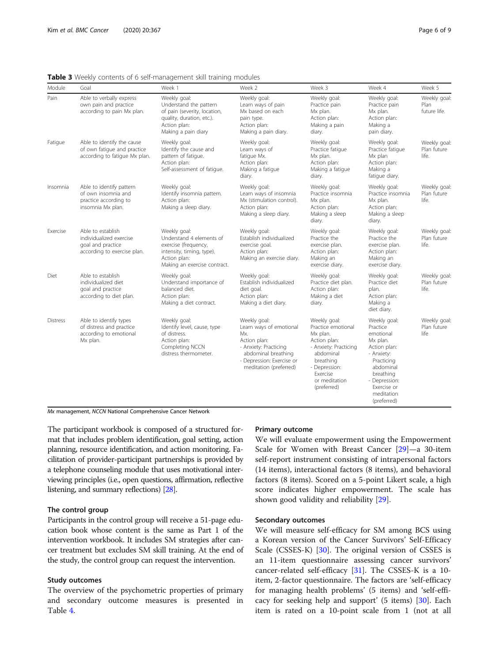| Module          | Goal                                                                                             | Week 1                                                                                                                                        | Week 2                                                                                                                                                                | Week 3                                                                                                                                                                         | Week 4                                                                                                                                                                               | Week 5                               |
|-----------------|--------------------------------------------------------------------------------------------------|-----------------------------------------------------------------------------------------------------------------------------------------------|-----------------------------------------------------------------------------------------------------------------------------------------------------------------------|--------------------------------------------------------------------------------------------------------------------------------------------------------------------------------|--------------------------------------------------------------------------------------------------------------------------------------------------------------------------------------|--------------------------------------|
| Pain            | Able to verbally express<br>own pain and practice<br>according to pain Mx plan.                  | Weekly goal:<br>Understand the pattern<br>of pain (severity, location,<br>quality, duration, etc.).<br>Action plan:<br>Making a pain diary    | Weekly goal:<br>Learn ways of pain<br>Mx based on each<br>pain type.<br>Action plan:<br>Making a pain diary.                                                          | Weekly goal:<br>Practice pain<br>Mx plan.<br>Action plan:<br>Making a pain<br>diary.                                                                                           | Weekly goal:<br>Practice pain<br>Mx plan.<br>Action plan:<br>Making a<br>pain diary.                                                                                                 | Weekly goal:<br>Plan<br>future life. |
| Fatigue         | Able to identify the cause<br>of own fatigue and practice<br>according to fatigue Mx plan.       | Weekly goal:<br>Identify the cause and<br>pattern of fatigue.<br>Action plan:<br>Self-assessment of fatigue.                                  | Weekly goal:<br>Learn ways of<br>fatique Mx.<br>Action plan:<br>Making a fatigue<br>diary.                                                                            | Weekly goal:<br>Practice fatique<br>Mx plan.<br>Action plan:<br>Making a fatigue<br>diary.                                                                                     | Weekly goal:<br>Practice fatique<br>Mx plan<br>Action plan:<br>Making a<br>fatique diary.                                                                                            | Weekly goal:<br>Plan future<br>life. |
| Insomnia        | Able to identify pattern<br>of own insomnia and<br>practice according to<br>insomnia Mx plan.    | Weekly goal:<br>Identify insomnia pattern.<br>Action plan:<br>Making a sleep diary.                                                           | Weekly goal:<br>Learn ways of insomnia<br>Mx (stimulation control).<br>Action plan:<br>Making a sleep diary.                                                          | Weekly goal:<br>Practice insomnia<br>Mx plan.<br>Action plan:<br>Making a sleep<br>diary.                                                                                      | Weekly goal:<br>Practice insomnia<br>Mx plan.<br>Action plan:<br>Making a sleep<br>diary.                                                                                            | Weekly goal:<br>Plan future<br>life. |
| Exercise        | Able to establish<br>individualized exercise<br>goal and practice<br>according to exercise plan. | Weekly goal:<br>Understand 4 elements of<br>exercise (frequency,<br>intensity, timing, type).<br>Action plan:<br>Making an exercise contract. | Weekly goal:<br>Establish individualized<br>exercise goal.<br>Action plan:<br>Making an exercise diary.                                                               | Weekly goal:<br>Practice the<br>exercise plan.<br>Action plan:<br>Making an<br>exercise diary.                                                                                 | Weekly goal:<br>Practice the<br>exercise plan.<br>Action plan:<br>Making an<br>exercise diary.                                                                                       | Weekly goal:<br>Plan future<br>life. |
| Diet            | Able to establish<br>individualized diet<br>goal and practice<br>according to diet plan.         | Weekly goal:<br>Understand importance of<br>balanced diet.<br>Action plan:<br>Making a diet contract.                                         | Weekly goal:<br>Establish individualized<br>diet goal.<br>Action plan:<br>Making a diet diary.                                                                        | Weekly goal:<br>Practice diet plan.<br>Action plan:<br>Making a diet<br>diary.                                                                                                 | Weekly goal:<br>Practice diet<br>plan.<br>Action plan:<br>Making a<br>diet diary.                                                                                                    | Weekly goal:<br>Plan future<br>life. |
| <b>Distress</b> | Able to identify types<br>of distress and practice<br>according to emotional<br>Mx plan.         | Weekly goal:<br>Identify level, cause, type<br>of distress.<br>Action plan:<br>Completing NCCN<br>distress thermometer.                       | Weekly goal:<br>Learn ways of emotional<br>Mx.<br>Action plan:<br>- Anxiety: Practicing<br>abdominal breathing<br>- Depression: Exercise or<br>meditation (preferred) | Weekly goal:<br>Practice emotional<br>Mx plan.<br>Action plan:<br>- Anxiety: Practicing<br>abdominal<br>breathing<br>- Depression:<br>Exercise<br>or meditation<br>(preferred) | Weekly goal:<br>Practice<br>emotional<br>Mx plan.<br>Action plan:<br>- Anxiety:<br>Practicing<br>abdominal<br>breathing<br>- Depression:<br>Exercise or<br>meditation<br>(preferred) | Weekly goal:<br>Plan future<br>life  |

<span id="page-5-0"></span>Table 3 Weekly contents of 6 self-management skill training modules

Mx management, NCCN National Comprehensive Cancer Network

The participant workbook is composed of a structured format that includes problem identification, goal setting, action planning, resource identification, and action monitoring. Facilitation of provider-participant partnerships is provided by a telephone counseling module that uses motivational interviewing principles (i.e., open questions, affirmation, reflective listening, and summary reflections) [\[28\]](#page-8-0).

# The control group

Participants in the control group will receive a 51-page education book whose content is the same as Part 1 of the intervention workbook. It includes SM strategies after cancer treatment but excludes SM skill training. At the end of the study, the control group can request the intervention.

# Study outcomes

The overview of the psychometric properties of primary and secondary outcome measures is presented in Table [4.](#page-6-0)

# Primary outcome

We will evaluate empowerment using the Empowerment Scale for Women with Breast Cancer [\[29](#page-8-0)]—a 30-item self-report instrument consisting of intrapersonal factors (14 items), interactional factors (8 items), and behavioral factors (8 items). Scored on a 5-point Likert scale, a high score indicates higher empowerment. The scale has shown good validity and reliability [[29](#page-8-0)].

# Secondary outcomes

We will measure self-efficacy for SM among BCS using a Korean version of the Cancer Survivors' Self-Efficacy Scale (CSSES-K) [[30](#page-8-0)]. The original version of CSSES is an 11-item questionnaire assessing cancer survivors' cancer-related self-efficacy [[31](#page-8-0)]. The CSSES-K is a 10 item, 2-factor questionnaire. The factors are 'self-efficacy for managing health problems' (5 items) and 'self-efficacy for seeking help and support' (5 items) [[30](#page-8-0)]. Each item is rated on a 10-point scale from 1 (not at all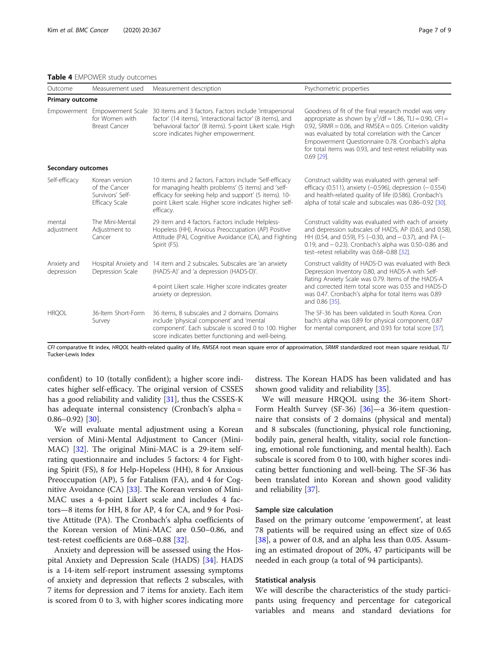<span id="page-6-0"></span>Table 4 EMPOWER study outcomes

| Outcome                   | Measurement used                                                        | Measurement description                                                                                                                                                                                                                       | Psychometric properties                                                                                                                                                                                                                                                                                                                                                        |
|---------------------------|-------------------------------------------------------------------------|-----------------------------------------------------------------------------------------------------------------------------------------------------------------------------------------------------------------------------------------------|--------------------------------------------------------------------------------------------------------------------------------------------------------------------------------------------------------------------------------------------------------------------------------------------------------------------------------------------------------------------------------|
| Primary outcome           |                                                                         |                                                                                                                                                                                                                                               |                                                                                                                                                                                                                                                                                                                                                                                |
|                           | Empowerment Empowerment Scale<br>for Women with<br><b>Breast Cancer</b> | 30 items and 3 factors. Factors include 'intrapersonal<br>factor' (14 items), 'interactional factor' (8 items), and<br>'behavioral factor' (8 items). 5-point Likert scale. High<br>score indicates higher empowerment.                       | Goodness of fit of the final research model was very<br>appropriate as shown by $\chi^2$ /df = 1.86, TLI = 0.90, CFI =<br>0.92, SRMR = $0.06$ , and RMSEA = $0.05$ . Criterion validity<br>was evaluated by total correlation with the Cancer<br>Empowerment Questionnaire 0.78. Cronbach's alpha<br>for total items was 0.93, and test-retest reliability was<br>$0.69$ [29]. |
| Secondary outcomes        |                                                                         |                                                                                                                                                                                                                                               |                                                                                                                                                                                                                                                                                                                                                                                |
| Self-efficacy             | Korean version<br>of the Cancer<br>Survivors' Self-<br>Efficacy Scale   | 10 items and 2 factors. Factors include 'Self-efficacy<br>for managing health problems' (5 items) and 'self-<br>efficacy for seeking help and support' (5 items). 10-<br>point Likert scale. Higher score indicates higher self-<br>efficacy. | Construct validity was evaluated with general self-<br>efficacy (0.511), anxiety ( $-0.596$ ), depression ( $-0.554$ )<br>and health-related quality of life (0.586). Cronbach's<br>alpha of total scale and subscales was 0.86-0.92 [30].                                                                                                                                     |
| mental<br>adjustment      | The Mini-Mental<br>Adjustment to<br>Cancer                              | 29 item and 4 factors. Factors include Helpless-<br>Hopeless (HH), Anxious Preoccupation (AP) Positive<br>Attitude (PA), Cognitive Avoidance (CA), and Fighting<br>Spirit (FS).                                                               | Construct validity was evaluated with each of anxiety<br>and depression subscales of HADS, AP (0.63, and 0.58)<br>HH (0.54, and 0.59), FS ( $-0.30$ , and $-0.37$ ), and PA ( $-$<br>0.19, and $-$ 0.23). Cronbach's alpha was 0.50 $-$ 0.86 and<br>test-retest reliability was 0.68-0.88 [32].                                                                                |
| Anxiety and<br>depression | Hospital Anxiety and<br>Depression Scale                                | 14 item and 2 subscales. Subscales are 'an anxiety<br>(HADS-A)' and 'a depression (HADS-D)'.<br>4-point Likert scale. Higher score indicates greater<br>anxiety or depression.                                                                | Construct validity of HADS-D was evaluated with Beck<br>Depression Inventory 0.80, and HADS-A with Self-<br>Rating Anxiety Scale was 0.79. Items of the HADS-A<br>and corrected item total score was 0.55 and HADS-D<br>was 0.47. Cronbach's alpha for total items was 0.89<br>and 0.86 [35].                                                                                  |
| <b>HRQOL</b>              | 36-Item Short-Form<br>Survey                                            | 36 items, 8 subscales and 2 domains. Domains<br>include 'physical component' and 'mental<br>component'. Each subscale is scored 0 to 100. Higher<br>score indicates better functioning and well-being.                                        | The SF-36 has been validated in South Korea. Cron.<br>bach's alpha was 0.89 for physical component, 0.87<br>for mental component, and 0.93 for total score [37].                                                                                                                                                                                                               |

CFI comparative fit index, HRQOL health-related quality of life, RMSEA root mean square error of approximation, SRMR standardized root mean square residual, TLI Tucker-Lewis Index

confident) to 10 (totally confident); a higher score indicates higher self-efficacy. The original version of CSSES has a good reliability and validity [\[31](#page-8-0)], thus the CSSES-K has adequate internal consistency (Cronbach's alpha =  $0.86 - 0.92$ ) [[30](#page-8-0)].

We will evaluate mental adjustment using a Korean version of Mini-Mental Adjustment to Cancer (Mini-MAC) [\[32](#page-8-0)]. The original Mini-MAC is a 29-item selfrating questionnaire and includes 5 factors: 4 for Fighting Spirit (FS), 8 for Help-Hopeless (HH), 8 for Anxious Preoccupation (AP), 5 for Fatalism (FA), and 4 for Cognitive Avoidance (CA) [\[33](#page-8-0)]. The Korean version of Mini-MAC uses a 4-point Likert scale and includes 4 factors—8 items for HH, 8 for AP, 4 for CA, and 9 for Positive Attitude (PA). The Cronbach's alpha coefficients of the Korean version of Mini-MAC are 0.50–0.86, and test-retest coefficients are 0.68–0.88 [\[32](#page-8-0)].

Anxiety and depression will be assessed using the Hospital Anxiety and Depression Scale (HADS) [\[34\]](#page-8-0). HADS is a 14-item self-report instrument assessing symptoms of anxiety and depression that reflects 2 subscales, with 7 items for depression and 7 items for anxiety. Each item is scored from 0 to 3, with higher scores indicating more

distress. The Korean HADS has been validated and has shown good validity and reliability [[35](#page-8-0)].

We will measure HRQOL using the 36-item Short-Form Health Survey (SF-36) [[36\]](#page-8-0)—a 36-item questionnaire that consists of 2 domains (physical and mental) and 8 subscales (functioning, physical role functioning, bodily pain, general health, vitality, social role functioning, emotional role functioning, and mental health). Each subscale is scored from 0 to 100, with higher scores indicating better functioning and well-being. The SF-36 has been translated into Korean and shown good validity and reliability [[37\]](#page-8-0).

## Sample size calculation

Based on the primary outcome 'empowerment', at least 78 patients will be required using an effect size of 0.65 [[38\]](#page-8-0), a power of 0.8, and an alpha less than 0.05. Assuming an estimated dropout of 20%, 47 participants will be needed in each group (a total of 94 participants).

# Statistical analysis

We will describe the characteristics of the study participants using frequency and percentage for categorical variables and means and standard deviations for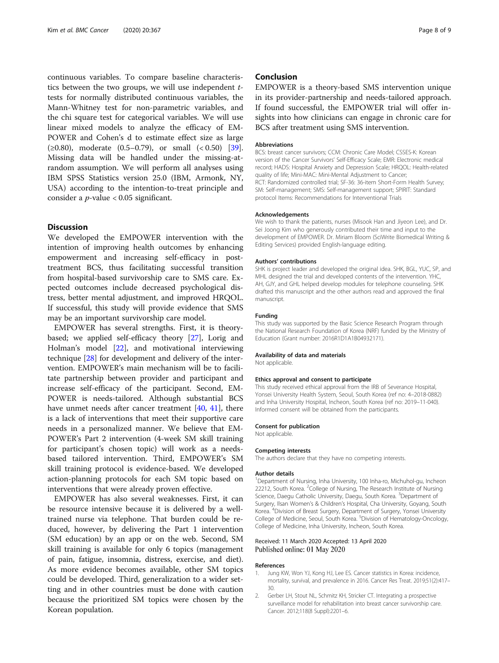<span id="page-7-0"></span>continuous variables. To compare baseline characteristics between the two groups, we will use independent  $t$ tests for normally distributed continuous variables, the Mann-Whitney test for non-parametric variables, and the chi square test for categorical variables. We will use linear mixed models to analyze the efficacy of EM-POWER and Cohen's d to estimate effect size as large  $(\geq 0.80)$ , moderate  $(0.5-0.79)$ , or small  $( $0.50$ )$  [\[39](#page-8-0)]. Missing data will be handled under the missing-atrandom assumption. We will perform all analyses using IBM SPSS Statistics version 25.0 (IBM, Armonk, NY, USA) according to the intention-to-treat principle and consider a  $p$ -value < 0.05 significant.

# **Discussion**

We developed the EMPOWER intervention with the intention of improving health outcomes by enhancing empowerment and increasing self-efficacy in posttreatment BCS, thus facilitating successful transition from hospital-based survivorship care to SMS care. Expected outcomes include decreased psychological distress, better mental adjustment, and improved HRQOL. If successful, this study will provide evidence that SMS may be an important survivorship care model.

EMPOWER has several strengths. First, it is theorybased; we applied self-efficacy theory [[27](#page-8-0)], Lorig and Holman's model [\[22](#page-8-0)], and motivational interviewing technique [[28\]](#page-8-0) for development and delivery of the intervention. EMPOWER's main mechanism will be to facilitate partnership between provider and participant and increase self-efficacy of the participant. Second, EM-POWER is needs-tailored. Although substantial BCS have unmet needs after cancer treatment [\[40](#page-8-0), [41\]](#page-8-0), there is a lack of interventions that meet their supportive care needs in a personalized manner. We believe that EM-POWER's Part 2 intervention (4-week SM skill training for participant's chosen topic) will work as a needsbased tailored intervention. Third, EMPOWER's SM skill training protocol is evidence-based. We developed action-planning protocols for each SM topic based on interventions that were already proven effective.

EMPOWER has also several weaknesses. First, it can be resource intensive because it is delivered by a welltrained nurse via telephone. That burden could be reduced, however, by delivering the Part 1 intervention (SM education) by an app or on the web. Second, SM skill training is available for only 6 topics (management of pain, fatigue, insomnia, distress, exercise, and diet). As more evidence becomes available, other SM topics could be developed. Third, generalization to a wider setting and in other countries must be done with caution because the prioritized SM topics were chosen by the Korean population.

# Conclusion

EMPOWER is a theory-based SMS intervention unique in its provider-partnership and needs-tailored approach. If found successful, the EMPOWER trial will offer insights into how clinicians can engage in chronic care for BCS after treatment using SMS intervention.

# Abbreviations

BCS: breast cancer survivors; CCM: Chronic Care Model; CSSES-K: Korean version of the Cancer Survivors' Self-Efficacy Scale; EMR: Electronic medical record; HADS: Hospital Anxiety and Depression Scale; HRQOL: Health-related quality of life; Mini-MAC: Mini-Mental Adjustment to Cancer; RCT: Randomized controlled trial; SF-36: 36-item Short-Form Health Survey; SM: Self-management; SMS: Self-management support; SPIRIT: Standard protocol Items: Recommendations for Interventional Trials

#### Acknowledgements

We wish to thank the patients, nurses (Misook Han and Jiyeon Lee), and Dr. Sei Joong Kim who generously contributed their time and input to the development of EMPOWER. Dr. Miriam Bloom (SciWrite Biomedical Writing & Editing Services) provided English-language editing.

#### Authors' contributions

SHK is project leader and developed the original idea. SHK, BGL, YUC, SP, and MHL designed the trial and developed contents of the intervention. YHC, AH, GJY, and GHL helped develop modules for telephone counseling. SHK drafted this manuscript and the other authors read and approved the final manuscript.

## Funding

This study was supported by the Basic Science Research Program through the National Research Foundation of Korea (NRF) funded by the Ministry of Education (Grant number: 2016R1D1A1B04932171).

# Availability of data and materials

Not applicable.

#### Ethics approval and consent to participate

This study received ethical approval from the IRB of Severance Hospital, Yonsei University Health System, Seoul, South Korea (ref no: 4–2018-0882) and Inha University Hospital, Incheon, South Korea (ref no: 2019–11-040). Informed consent will be obtained from the participants.

#### Consent for publication

Not applicable.

#### Competing interests

The authors declare that they have no competing interests.

#### Author details

<sup>1</sup>Department of Nursing, Inha University, 100 Inha-ro, Michuhol-gu, Incheon 22212, South Korea. <sup>2</sup>College of Nursing, The Research Institute of Nursing Science, Daegu Catholic University, Daegu, South Korea. <sup>3</sup>Department of Surgery, Ilsan Women's & Children's Hospital, Cha University, Goyang, South Korea. <sup>4</sup> Division of Breast Surgery, Department of Surgery, Yonsei University College of Medicine, Seoul, South Korea. <sup>5</sup>Division of Hematology-Oncology College of Medicine, Inha University, Incheon, South Korea.

# Received: 11 March 2020 Accepted: 13 April 2020 Published online: 01 May 2020

# References

- 1. Jung KW, Won YJ, Kong HJ, Lee ES. Cancer statistics in Korea: incidence, mortality, survival, and prevalence in 2016. Cancer Res Treat. 2019;51(2):417– 30.
- 2. Gerber LH, Stout NL, Schmitz KH, Stricker CT. Integrating a prospective surveillance model for rehabilitation into breast cancer survivorship care. Cancer. 2012;118(8 Suppl):2201–6.